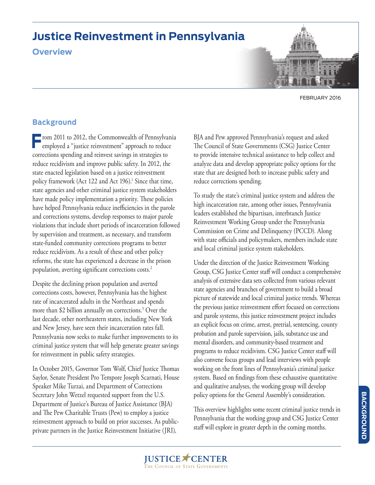# **Justice Reinvestment in Pennsylvania**

### **Overview**

FEBRUARY 2016

### **Background**

**From 2011 to 2012, the Commonwealth of Pennsylvania**<br>
employed a "justice reinvestment" approach to reduce corrections spending and reinvest savings in strategies to reduce recidivism and improve public safety. In 2012, the state enacted legislation based on a justice reinvestment policy framework (Act 122 and Act 196).<sup>1</sup> Since that time, state agencies and other criminal justice system stakeholders have made policy implementation a priority. These policies have helped Pennsylvania reduce inefficiencies in the parole and corrections systems, develop responses to major parole violations that include short periods of incarceration followed by supervision and treatment, as necessary, and transform state-funded community corrections programs to better reduce recidivism. As a result of these and other policy reforms, the state has experienced a decrease in the prison population, averting significant corrections costs.<sup>2</sup>

Despite the declining prison population and averted corrections costs, however, Pennsylvania has the highest rate of incarcerated adults in the Northeast and spends more than \$2 billion annually on corrections.3 Over the last decade, other northeastern states, including New York and New Jersey, have seen their incarceration rates fall. Pennsylvania now seeks to make further improvements to its criminal justice system that will help generate greater savings for reinvestment in public safety strategies.

In October 2015, Governor Tom Wolf, Chief Justice Thomas Saylor, Senate President Pro Tempore Joseph Scarnati, House Speaker Mike Turzai, and Department of Corrections Secretary John Wetzel requested support from the U.S. Department of Justice's Bureau of Justice Assistance (BJA) and The Pew Charitable Trusts (Pew) to employ a justice reinvestment approach to build on prior successes. As publicprivate partners in the Justice Reinvestment Initiative (JRI),

BJA and Pew approved Pennsylvania's request and asked The Council of State Governments (CSG) Justice Center to provide intensive technical assistance to help collect and analyze data and develop appropriate policy options for the state that are designed both to increase public safety and reduce corrections spending.

To study the state's criminal justice system and address the high incarceration rate, among other issues, Pennsylvania leaders established the bipartisan, interbranch Justice Reinvestment Working Group under the Pennsylvania Commission on Crime and Delinquency (PCCD). Along with state officials and policymakers, members include state and local criminal justice system stakeholders.

Under the direction of the Justice Reinvestment Working Group, CSG Justice Center staff will conduct a comprehensive analysis of extensive data sets collected from various relevant state agencies and branches of government to build a broad picture of statewide and local criminal justice trends. Whereas the previous justice reinvestment effort focused on corrections and parole systems, this justice reinvestment project includes an explicit focus on crime, arrest, pretrial, sentencing, county probation and parole supervision, jails, substance use and mental disorders, and community-based treatment and programs to reduce recidivism. CSG Justice Center staff will also convene focus groups and lead interviews with people working on the front lines of Pennsylvania's criminal justice system. Based on findings from these exhaustive quantitative and qualitative analyses, the working group will develop policy options for the General Assembly's consideration.

This overview highlights some recent criminal justice trends in Pennsylvania that the working group and CSG Justice Center staff will explore in greater depth in the coming months.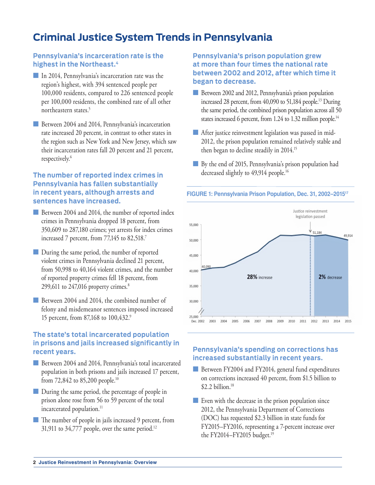## **Criminal Justice System Trends in Pennsylvania**

#### **Pennsylvania's incarceration rate is the highest in the Northeast.4**

- In 2014, Pennsylvania's incarceration rate was the region's highest, with 394 sentenced people per 100,000 residents, compared to 226 sentenced people per 100,000 residents, the combined rate of all other northeastern states.5
- **n** Between 2004 and 2014, Pennsylvania's incarceration rate increased 20 percent, in contrast to other states in the region such as New York and New Jersey, which saw their incarceration rates fall 20 percent and 21 percent, respectively.<sup>6</sup>

#### **The number of reported index crimes in Pennsylvania has fallen substantially in recent years, although arrests and sentences have increased.**

- Between 2004 and 2014, the number of reported index crimes in Pennsylvania dropped 18 percent, from 350,609 to 287,180 crimes; yet arrests for index crimes increased 7 percent, from 77,145 to 82,518.7
- During the same period, the number of reported violent crimes in Pennsylvania declined 21 percent, from 50,998 to 40,164 violent crimes, and the number of reported property crimes fell 18 percent, from 299,611 to  $247,016$  property crimes.<sup>8</sup>
- Between 2004 and 2014, the combined number of felony and misdemeanor sentences imposed increased 15 percent, from 87,168 to 100,432.9

#### **The state's total incarcerated population in prisons and jails increased significantly in recent years.**

- **n** Between 2004 and 2014, Pennsylvania's total incarcerated population in both prisons and jails increased 17 percent, from 72,842 to 85,200 people.10
- **n** During the same period, the percentage of people in prison alone rose from 56 to 59 percent of the total incarcerated population.<sup>11</sup>
- The number of people in jails increased 9 percent, from 31,911 to  $34,777$  people, over the same period.<sup>12</sup>

#### **Pennsylvania's prison population grew at more than four times the national rate between 2002 and 2012, after which time it began to decrease.**

- **n** Between 2002 and 2012, Pennsylvania's prison population increased 28 percent, from 40,090 to 51,184 people.<sup>13</sup> During the same period, the combined prison population across all 50 states increased 6 percent, from 1.24 to 1.32 million people.<sup>14</sup>
- $\blacksquare$  After justice reinvestment legislation was passed in mid-2012, the prison population remained relatively stable and then began to decline steadily in 2014.15
- **n** By the end of 2015, Pennsylvania's prison population had decreased slightly to 49,914 people.<sup>16</sup>





#### **Pennsylvania's spending on corrections has increased substantially in recent years.**

- Between FY2004 and FY2014, general fund expenditures on corrections increased 40 percent, from \$1.5 billion to  $$2.2$  billion.<sup>18</sup>
- $\blacksquare$  Even with the decrease in the prison population since 2012, the Pennsylvania Department of Corrections (DOC) has requested \$2.3 billion in state funds for FY2015–FY2016, representing a 7-percent increase over the FY2014–FY2015 budget.<sup>19</sup>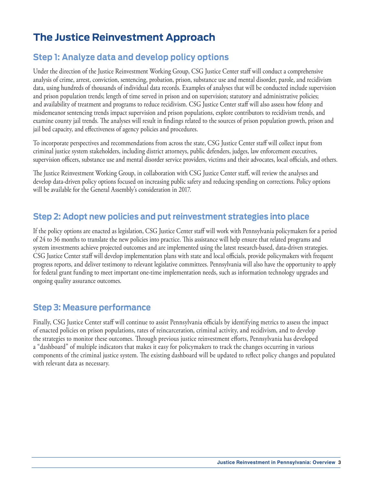# **The Justice Reinvestment Approach**

## **Step 1: Analyze data and develop policy options**

Under the direction of the Justice Reinvestment Working Group, CSG Justice Center staff will conduct a comprehensive analysis of crime, arrest, conviction, sentencing, probation, prison, substance use and mental disorder, parole, and recidivism data, using hundreds of thousands of individual data records. Examples of analyses that will be conducted include supervision and prison population trends; length of time served in prison and on supervision; statutory and administrative policies; and availability of treatment and programs to reduce recidivism. CSG Justice Center staff will also assess how felony and misdemeanor sentencing trends impact supervision and prison populations, explore contributors to recidivism trends, and examine county jail trends. The analyses will result in findings related to the sources of prison population growth, prison and jail bed capacity, and effectiveness of agency policies and procedures.

To incorporate perspectives and recommendations from across the state, CSG Justice Center staff will collect input from criminal justice system stakeholders, including district attorneys, public defenders, judges, law enforcement executives, supervision officers, substance use and mental disorder service providers, victims and their advocates, local officials, and others.

The Justice Reinvestment Working Group, in collaboration with CSG Justice Center staff, will review the analyses and develop data-driven policy options focused on increasing public safety and reducing spending on corrections. Policy options will be available for the General Assembly's consideration in 2017.

### **Step 2: Adopt new policies and put reinvestment strategies into place**

If the policy options are enacted as legislation, CSG Justice Center staff will work with Pennsylvania policymakers for a period of 24 to 36 months to translate the new policies into practice. This assistance will help ensure that related programs and system investments achieve projected outcomes and are implemented using the latest research-based, data-driven strategies. CSG Justice Center staff will develop implementation plans with state and local officials, provide policymakers with frequent progress reports, and deliver testimony to relevant legislative committees. Pennsylvania will also have the opportunity to apply for federal grant funding to meet important one-time implementation needs, such as information technology upgrades and ongoing quality assurance outcomes.

### **Step 3: Measure performance**

Finally, CSG Justice Center staff will continue to assist Pennsylvania officials by identifying metrics to assess the impact of enacted policies on prison populations, rates of reincarceration, criminal activity, and recidivism, and to develop the strategies to monitor these outcomes. Through previous justice reinvestment efforts, Pennsylvania has developed a "dashboard" of multiple indicators that makes it easy for policymakers to track the changes occurring in various components of the criminal justice system. The existing dashboard will be updated to reflect policy changes and populated with relevant data as necessary.